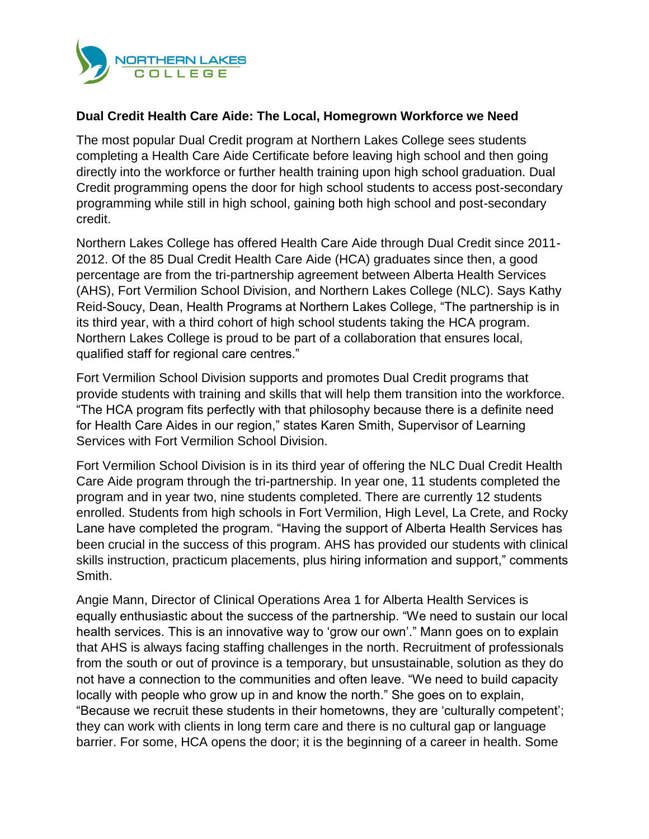

## **Dual Credit Health Care Aide: The Local, Homegrown Workforce we Need**

The most popular Dual Credit program at Northern Lakes College sees students completing a Health Care Aide Certificate before leaving high school and then going directly into the workforce or further health training upon high school graduation. Dual Credit programming opens the door for high school students to access post-secondary programming while still in high school, gaining both high school and post-secondary credit.

Northern Lakes College has offered Health Care Aide through Dual Credit since 2011- 2012. Of the 85 Dual Credit Health Care Aide (HCA) graduates since then, a good percentage are from the tri-partnership agreement between Alberta Health Services (AHS), Fort Vermilion School Division, and Northern Lakes College (NLC). Says Kathy Reid-Soucy, Dean, Health Programs at Northern Lakes College, "The partnership is in its third year, with a third cohort of high school students taking the HCA program. Northern Lakes College is proud to be part of a collaboration that ensures local, qualified staff for regional care centres."

Fort Vermilion School Division supports and promotes Dual Credit programs that provide students with training and skills that will help them transition into the workforce. "The HCA program fits perfectly with that philosophy because there is a definite need for Health Care Aides in our region," states Karen Smith, Supervisor of Learning Services with Fort Vermilion School Division.

Fort Vermilion School Division is in its third year of offering the NLC Dual Credit Health Care Aide program through the tri-partnership. In year one, 11 students completed the program and in year two, nine students completed. There are currently 12 students enrolled. Students from high schools in Fort Vermilion, High Level, La Crete, and Rocky Lane have completed the program. "Having the support of Alberta Health Services has been crucial in the success of this program. AHS has provided our students with clinical skills instruction, practicum placements, plus hiring information and support," comments Smith.

Angie Mann, Director of Clinical Operations Area 1 for Alberta Health Services is equally enthusiastic about the success of the partnership. "We need to sustain our local health services. This is an innovative way to 'grow our own'." Mann goes on to explain that AHS is always facing staffing challenges in the north. Recruitment of professionals from the south or out of province is a temporary, but unsustainable, solution as they do not have a connection to the communities and often leave. "We need to build capacity locally with people who grow up in and know the north." She goes on to explain, "Because we recruit these students in their hometowns, they are 'culturally competent'; they can work with clients in long term care and there is no cultural gap or language barrier. For some, HCA opens the door; it is the beginning of a career in health. Some